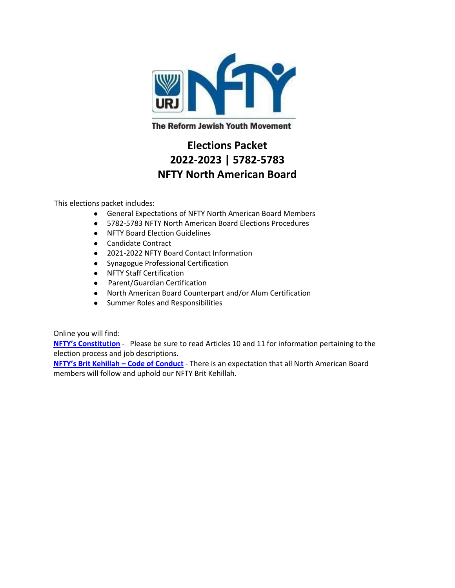

**The Reform Jewish Youth Movement** 

# **Elections Packet 2022-2023 | 5782-5783 NFTY North American Board**

This elections packet includes:

- General Expectations of NFTY North American Board Members
- 5782-5783 NFTY North American Board Elections Procedures
- NFTY Board Election Guidelines
- Candidate Contract
- 2021-2022 NFTY Board Contact Information
- Synagogue Professional Certification
- NFTY Staff Certification
- Parent/Guardian Certification
- North American Board Counterpart and/or Alum Certification
- Summer Roles and Responsibilities

Online you will find:

**[NFTY's Constitution](https://nfty.org/wp-content/uploads/sites/32/2021/01/NFTY-Constitution-2018.doc.pdf)** - Please be sure to read Articles 10 and 11 for information pertaining to the election process and job descriptions.

**[NFTY's Brit Kehillah –](https://nfty.org/wp-content/uploads/sites/32/2018/09/SVP-Brit-Kehilah-Edits1.pdf-1.pdf) Code of Conduct** - There is an expectation that all North American Board members will follow and uphold our NFTY Brit Kehillah.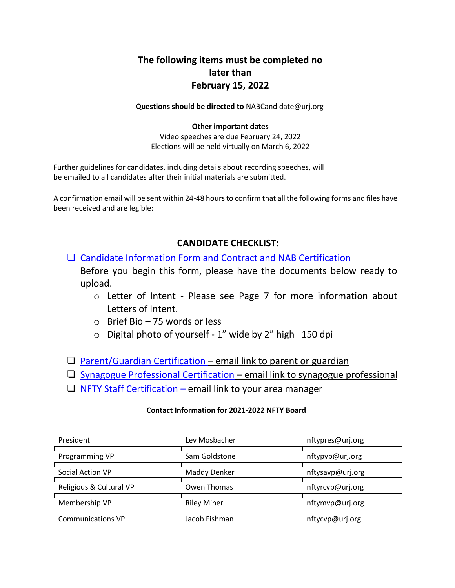# **The following items must be completed no later than February 15, 2022**

**Questions should be directed to** NABCandidate@urj.org

#### **Other important dates**

Video speeches are due February 24, 2022 Elections will be held virtually on March 6, 2022

Further guidelines for candidates, including details about recording speeches, will be emailed to all candidates after their initial materials are submitted.

A confirmation email will be sent within 24-48 hours to confirm that all the following forms and files have been received and are legible:

# **CANDIDATE CHECKLIST:**

□ Candidate Information Form and Contract and NAB Certification

Before you begin this form, please have the documents below ready to upload.

- o Letter of Intent Please see Page 7 for more information about Letters of Intent.
- o Brief Bio 75 words or less
- o Digital photo of yourself 1" wide by 2" high 150 dpi
- $\Box$  [Parent/Guardian Certification](https://urjyouth.wufoo.com/forms/xecky301ezsmco/) email link to parent or guardian
- $\Box$  [Synagogue Professional Certification](https://urjyouth.wufoo.com/forms/xagl24v1dza54j/) email link to synagogue professional
- $\Box$  [NFTY Staff Certification](https://urjyouth.wufoo.com/forms/x17q18fi0up71qf/) email link to your area manager

#### **Contact Information for 2021-2022 NFTY Board**

| President                | Lev Mosbacher      | nftypres@urj.org |
|--------------------------|--------------------|------------------|
| Programming VP           | Sam Goldstone      | nftypvp@urj.org  |
| Social Action VP         | Maddy Denker       | nftysavp@urj.org |
| Religious & Cultural VP  | Owen Thomas        | nftyrcvp@urj.org |
| Membership VP            | <b>Riley Miner</b> | nftymvp@urj.org  |
| <b>Communications VP</b> | Jacob Fishman      | nftycvp@urj.org  |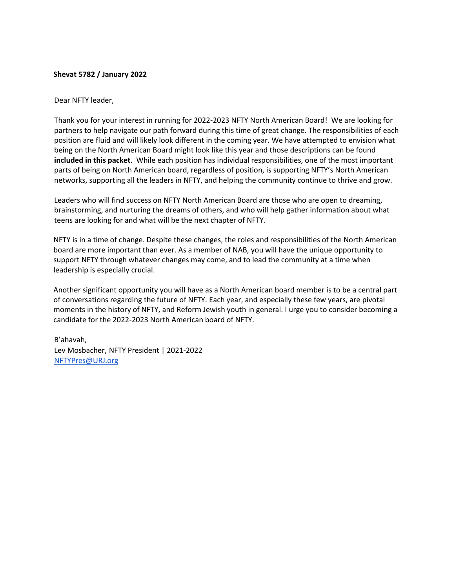#### **Shevat 5782 / January 2022**

#### Dear NFTY leader,

Thank you for your interest in running for 2022-2023 NFTY North American Board! We are looking for partners to help navigate our path forward during this time of great change. The responsibilities of each position are fluid and will likely look different in the coming year. We have attempted to envision what being on the North American Board might look like this year and those descriptions can be found **included in this packet**. While each position has individual responsibilities, one of the most important parts of being on North American board, regardless of position, is supporting NFTY's North American networks, supporting all the leaders in NFTY, and helping the community continue to thrive and grow.

Leaders who will find success on NFTY North American Board are those who are open to dreaming, brainstorming, and nurturing the dreams of others, and who will help gather information about what teens are looking for and what will be the next chapter of NFTY.

NFTY is in a time of change. Despite these changes, the roles and responsibilities of the North American board are more important than ever. As a member of NAB, you will have the unique opportunity to support NFTY through whatever changes may come, and to lead the community at a time when leadership is especially crucial.

Another significant opportunity you will have as a North American board member is to be a central part of conversations regarding the future of NFTY. Each year, and especially these few years, are pivotal moments in the history of NFTY, and Reform Jewish youth in general. I urge you to consider becoming a candidate for the 2022-2023 North American board of NFTY.

B'ahavah, Lev Mosbacher, NFTY President | 2021-2022 [NFTYPres@URJ.org](mailto:NFTYPres@URJ.org)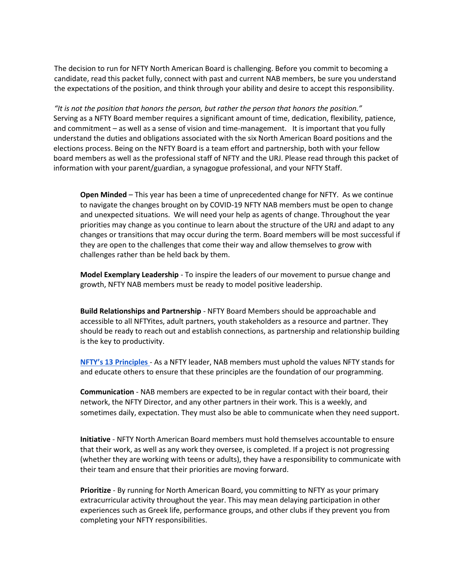The decision to run for NFTY North American Board is challenging. Before you commit to becoming a candidate, read this packet fully, connect with past and current NAB members, be sure you understand the expectations of the position, and think through your ability and desire to accept this responsibility.

*"It is not the position that honors the person, but rather the person that honors the position."* Serving as a NFTY Board member requires a significant amount of time, dedication, flexibility, patience, and commitment – as well as a sense of vision and time-management. It is important that you fully understand the duties and obligations associated with the six North American Board positions and the elections process. Being on the NFTY Board is a team effort and partnership, both with your fellow board members as well as the professional staff of NFTY and the URJ. Please read through this packet of information with your parent/guardian, a synagogue professional, and your NFTY Staff.

**Open Minded** – This year has been a time of unprecedented change for NFTY. As we continue to navigate the changes brought on by COVID-19 NFTY NAB members must be open to change and unexpected situations. We will need your help as agents of change. Throughout the year priorities may change as you continue to learn about the structure of the URJ and adapt to any changes or transitions that may occur during the term. Board members will be most successful if they are open to the challenges that come their way and allow themselves to grow with challenges rather than be held back by them.

**Model Exemplary Leadership** - To inspire the leaders of our movement to pursue change and growth, NFTY NAB members must be ready to model positive leadership.

**Build Relationships and Partnership** - NFTY Board Members should be approachable and accessible to all NFTYites, adult partners, youth stakeholders as a resource and partner. They should be ready to reach out and establish connections, as partnership and relationship building is the key to productivity.

**[NFTY's 13 Principles](https://nfty.org/about/our-movement/principles/)** - As a NFTY leader, NAB members must uphold the values NFTY stands for and educate others to ensure that these principles are the foundation of our programming.

**Communication** - NAB members are expected to be in regular contact with their board, their network, the NFTY Director, and any other partners in their work. This is a weekly, and sometimes daily, expectation. They must also be able to communicate when they need support.

**Initiative** - NFTY North American Board members must hold themselves accountable to ensure that their work, as well as any work they oversee, is completed. If a project is not progressing (whether they are working with teens or adults), they have a responsibility to communicate with their team and ensure that their priorities are moving forward.

**Prioritize** - By running for North American Board, you committing to NFTY as your primary extracurricular activity throughout the year. This may mean delaying participation in other experiences such as Greek life, performance groups, and other clubs if they prevent you from completing your NFTY responsibilities.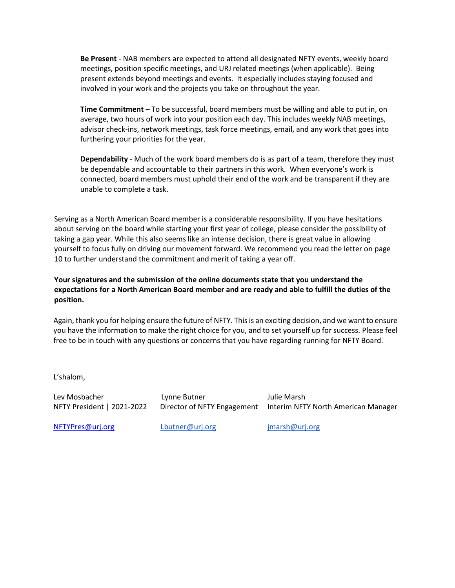**Be Present** - NAB members are expected to attend all designated NFTY events, weekly board meetings, position specific meetings, and URJ related meetings (when applicable). Being present extends beyond meetings and events. It especially includes staying focused and involved in your work and the projects you take on throughout the year.

**Time Commitment** – To be successful, board members must be willing and able to put in, on average, two hours of work into your position each day. This includes weekly NAB meetings, advisor check-ins, network meetings, task force meetings, email, and any work that goes into furthering your priorities for the year.

**Dependability** - Much of the work board members do is as part of a team, therefore they must be dependable and accountable to their partners in this work. When everyone's work is connected, board members must uphold their end of the work and be transparent if they are unable to complete a task.

Serving as a North American Board member is a considerable responsibility. If you have hesitations about serving on the board while starting your first year of college, please consider the possibility of taking a gap year. While this also seems like an intense decision, there is great value in allowing yourself to focus fully on driving our movement forward. We recommend you read the letter on page 10 to further understand the commitment and merit of taking a year off.

**Your signatures and the submission of the online documents state that you understand the expectations for a North American Board member and are ready and able to fulfill the duties of the position.**

Again, thank you for helping ensure the future of NFTY. This is an exciting decision, and we want to ensure you have the information to make the right choice for you, and to set yourself up for success. Please feel free to be in touch with any questions or concerns that you have regarding running for NFTY Board.

L'shalom,

Lev Mosbacher Lynne Butner Julie Marsh

NFTY President | 2021-2022 Director of NFTY Engagement Interim NFTY North American Manager

NFTYPres@urj.org [Lbutner@urj.org](mailto:Lbutner@urj.org) [jmarsh@urj.org](mailto:jmarsh@urj.org)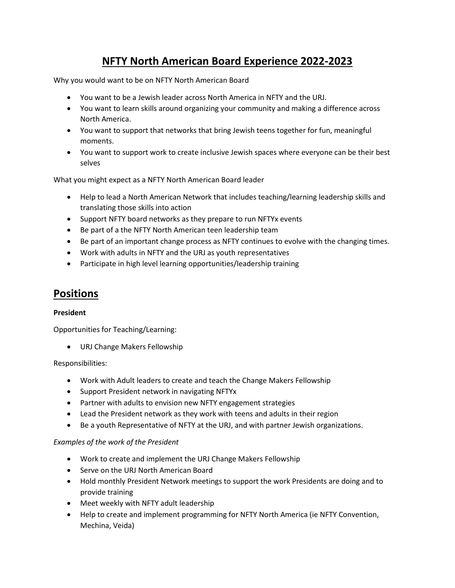# **NFTY North American Board Experience 2022-2023**

Why you would want to be on NFTY North American Board

- You want to be a Jewish leader across North America in NFTY and the URJ.
- You want to learn skills around organizing your community and making a difference across North America.
- You want to support that networks that bring Jewish teens together for fun, meaningful moments.
- You want to support work to create inclusive Jewish spaces where everyone can be their best selves

What you might expect as a NFTY North American Board leader

- Help to lead a North American Network that includes teaching/learning leadership skills and translating those skills into action
- Support NFTY board networks as they prepare to run NFTYx events
- Be part of a the NFTY North American teen leadership team
- Be part of an important change process as NFTY continues to evolve with the changing times.
- Work with adults in NFTY and the URJ as youth representatives
- Participate in high level learning opportunities/leadership training

# **Positions**

#### **President**

Opportunities for Teaching/Learning:

• URJ Change Makers Fellowship

#### Responsibilities:

- Work with Adult leaders to create and teach the Change Makers Fellowship
- Support President network in navigating NFTYx
- Partner with adults to envision new NFTY engagement strategies
- Lead the President network as they work with teens and adults in their region
- Be a youth Representative of NFTY at the URJ, and with partner Jewish organizations.

#### *Examples of the work of the President*

- Work to create and implement the URJ Change Makers Fellowship
- Serve on the URJ North American Board
- Hold monthly President Network meetings to support the work Presidents are doing and to provide training
- Meet weekly with NFTY adult leadership
- Help to create and implement programming for NFTY North America (ie NFTY Convention, Mechina, Veida)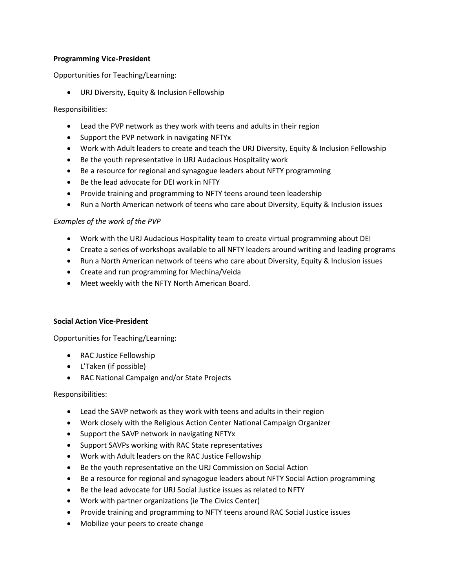#### **Programming Vice-President**

Opportunities for Teaching/Learning:

• URJ Diversity, Equity & Inclusion Fellowship

Responsibilities:

- Lead the PVP network as they work with teens and adults in their region
- Support the PVP network in navigating NFTYx
- Work with Adult leaders to create and teach the URJ Diversity, Equity & Inclusion Fellowship
- Be the youth representative in URJ Audacious Hospitality work
- Be a resource for regional and synagogue leaders about NFTY programming
- Be the lead advocate for DEI work in NFTY
- Provide training and programming to NFTY teens around teen leadership
- Run a North American network of teens who care about Diversity, Equity & Inclusion issues

#### *Examples of the work of the PVP*

- Work with the URJ Audacious Hospitality team to create virtual programming about DEI
- Create a series of workshops available to all NFTY leaders around writing and leading programs
- Run a North American network of teens who care about Diversity, Equity & Inclusion issues
- Create and run programming for Mechina/Veida
- Meet weekly with the NFTY North American Board.

#### **Social Action Vice-President**

Opportunities for Teaching/Learning:

- RAC Justice Fellowship
- L'Taken (if possible)
- RAC National Campaign and/or State Projects

Responsibilities:

- Lead the SAVP network as they work with teens and adults in their region
- Work closely with the Religious Action Center National Campaign Organizer
- Support the SAVP network in navigating NFTYx
- Support SAVPs working with RAC State representatives
- Work with Adult leaders on the RAC Justice Fellowship
- Be the youth representative on the URJ Commission on Social Action
- Be a resource for regional and synagogue leaders about NFTY Social Action programming
- Be the lead advocate for URJ Social Justice issues as related to NFTY
- Work with partner organizations (ie The Civics Center)
- Provide training and programming to NFTY teens around RAC Social Justice issues
- Mobilize your peers to create change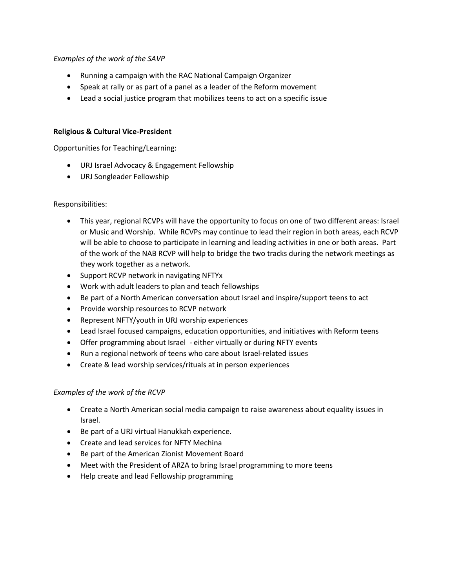#### *Examples of the work of the SAVP*

- Running a campaign with the RAC National Campaign Organizer
- Speak at rally or as part of a panel as a leader of the Reform movement
- Lead a social justice program that mobilizes teens to act on a specific issue

#### **Religious & Cultural Vice-President**

Opportunities for Teaching/Learning:

- URJ Israel Advocacy & Engagement Fellowship
- URJ Songleader Fellowship

#### Responsibilities:

- This year, regional RCVPs will have the opportunity to focus on one of two different areas: Israel or Music and Worship. While RCVPs may continue to lead their region in both areas, each RCVP will be able to choose to participate in learning and leading activities in one or both areas. Part of the work of the NAB RCVP will help to bridge the two tracks during the network meetings as they work together as a network.
- Support RCVP network in navigating NFTYx
- Work with adult leaders to plan and teach fellowships
- Be part of a North American conversation about Israel and inspire/support teens to act
- Provide worship resources to RCVP network
- Represent NFTY/youth in URJ worship experiences
- Lead Israel focused campaigns, education opportunities, and initiatives with Reform teens
- Offer programming about Israel either virtually or during NFTY events
- Run a regional network of teens who care about Israel-related issues
- Create & lead worship services/rituals at in person experiences

#### *Examples of the work of the RCVP*

- Create a North American social media campaign to raise awareness about equality issues in Israel.
- Be part of a URJ virtual Hanukkah experience.
- Create and lead services for NFTY Mechina
- Be part of the American Zionist Movement Board
- Meet with the President of ARZA to bring Israel programming to more teens
- Help create and lead Fellowship programming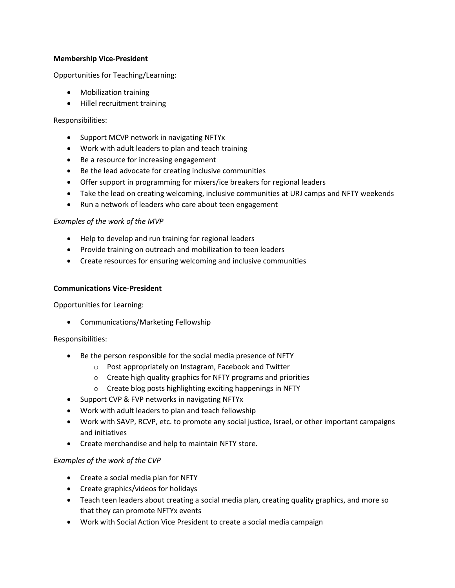#### **Membership Vice-President**

Opportunities for Teaching/Learning:

- Mobilization training
- Hillel recruitment training

#### Responsibilities:

- Support MCVP network in navigating NFTYx
- Work with adult leaders to plan and teach training
- Be a resource for increasing engagement
- Be the lead advocate for creating inclusive communities
- Offer support in programming for mixers/ice breakers for regional leaders
- Take the lead on creating welcoming, inclusive communities at URJ camps and NFTY weekends
- Run a network of leaders who care about teen engagement

#### *Examples of the work of the MVP*

- Help to develop and run training for regional leaders
- Provide training on outreach and mobilization to teen leaders
- Create resources for ensuring welcoming and inclusive communities

#### **Communications Vice-President**

Opportunities for Learning:

• Communications/Marketing Fellowship

#### Responsibilities:

- Be the person responsible for the social media presence of NFTY
	- o Post appropriately on Instagram, Facebook and Twitter
	- o Create high quality graphics for NFTY programs and priorities
	- o Create blog posts highlighting exciting happenings in NFTY
- Support CVP & FVP networks in navigating NFTYx
- Work with adult leaders to plan and teach fellowship
- Work with SAVP, RCVP, etc. to promote any social justice, Israel, or other important campaigns and initiatives
- Create merchandise and help to maintain NFTY store.

#### *Examples of the work of the CVP*

- Create a social media plan for NFTY
- Create graphics/videos for holidays
- Teach teen leaders about creating a social media plan, creating quality graphics, and more so that they can promote NFTYx events
- Work with Social Action Vice President to create a social media campaign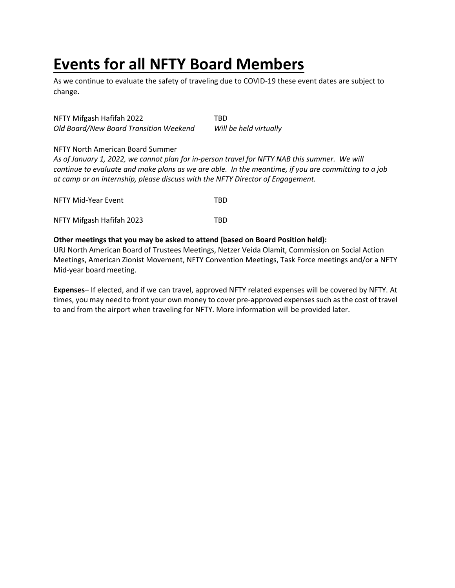# **Events for all NFTY Board Members**

As we continue to evaluate the safety of traveling due to COVID-19 these event dates are subject to change.

NFTY Mifgash Hafifah 2022 TBD *Old Board/New Board Transition Weekend Will be held virtually*

#### NFTY North American Board Summer

*As of January 1, 2022, we cannot plan for in-person travel for NFTY NAB this summer. We will continue to evaluate and make plans as we are able. In the meantime, if you are committing to a job at camp or an internship, please discuss with the NFTY Director of Engagement.*

| NFTY Mid-Year Event       | TBD. |
|---------------------------|------|
| NFTY Mifgash Hafifah 2023 | TRD. |

#### **Other meetings that you may be asked to attend (based on Board Position held):**

URJ North American Board of Trustees Meetings, Netzer Veida Olamit, Commission on Social Action Meetings, American Zionist Movement, NFTY Convention Meetings, Task Force meetings and/or a NFTY Mid-year board meeting.

**Expenses**– If elected, and if we can travel, approved NFTY related expenses will be covered by NFTY. At times, you may need to front your own money to cover pre-approved expenses such as the cost of travel to and from the airport when traveling for NFTY. More information will be provided later.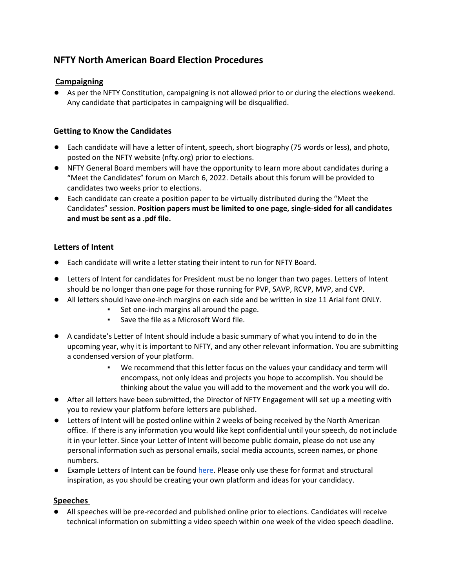# **NFTY North American Board Election Procedures**

## **Campaigning**

● As per the NFTY Constitution, campaigning is not allowed prior to or during the elections weekend. Any candidate that participates in campaigning will be disqualified.

## **Getting to Know the Candidates**

- Each candidate will have a letter of intent, speech, short biography (75 words or less), and photo, posted on the NFTY website (nfty.org) prior to elections.
- NFTY General Board members will have the opportunity to learn more about candidates during a "Meet the Candidates" forum on March 6, 2022. Details about this forum will be provided to candidates two weeks prior to elections.
- Each candidate can create a position paper to be virtually distributed during the "Meet the Candidates" session. **Position papers must be limited to one page, single-sided for all candidates and must be sent as a .pdf file.**

# **Letters of Intent**

- Each candidate will write a letter stating their intent to run for NFTY Board.
- Letters of Intent for candidates for President must be no longer than two pages. Letters of Intent should be no longer than one page for those running for PVP, SAVP, RCVP, MVP, and CVP.
- All letters should have one-inch margins on each side and be written in size 11 Arial font ONLY.
	- Set one-inch margins all around the page.
	- Save the file as a Microsoft Word file.
- A candidate's Letter of Intent should include a basic summary of what you intend to do in the upcoming year, why it is important to NFTY, and any other relevant information. You are submitting a condensed version of your platform.
	- We recommend that this letter focus on the values your candidacy and term will encompass, not only ideas and projects you hope to accomplish. You should be thinking about the value you will add to the movement and the work you will do.
- After all letters have been submitted, the Director of NFTY Engagement will set up a meeting with you to review your platform before letters are published.
- Letters of Intent will be posted online within 2 weeks of being received by the North American office. If there is any information you would like kept confidential until your speech, do not include it in your letter. Since your Letter of Intent will become public domain, please do not use any personal information such as personal emails, social media accounts, screen names, or phone numbers.
- Example Letters of Intent can be foun[d here.](https://nfty.org/candidates/) Please only use these for format and structural inspiration, as you should be creating your own platform and ideas for your candidacy.

## **Speeches**

● All speeches will be pre-recorded and published online prior to elections. Candidates will receive technical information on submitting a video speech within one week of the video speech deadline.